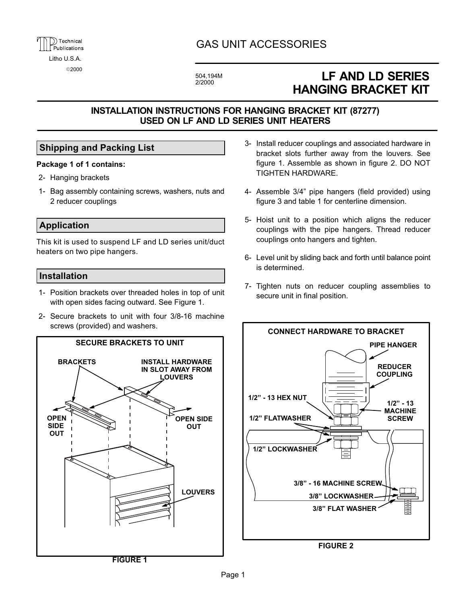## GAS UNIT ACCESSORIES

504,194M

# LF AND LD SERIES HANGING BRACKET KIT

## INSTALLATION INSTRUCTIONS FOR HANGING BRACKET KIT (87277) USED ON LF AND LD SERIES UNIT HEATERS

## Shipping and Packing List

#### Package 1 of 1 contains:

- 2- Hanging brackets
- 1- Bag assembly containing screws, washers, nuts and 2 reducer couplings

## Application

This kit is used to suspend LF and LD series unit/duct heaters on two pipe hangers.

### Installation

- 1- Position brackets over threaded holes in top of unit with open sides facing outward. See Figure 1.
- 2- Secure brackets to unit with four 3/8-16 machine screws (provided) and washers.



- 3- Install reducer couplings and associated hardware in bracket slots further away from the louvers. See figure 1. Assemble as shown in figure 2. DO NOT TIGHTEN HARDWARE.
- 4- Assemble 3/4" pipe hangers (field provided) using figure 3 and table 1 for centerline dimension.
- 5- Hoist unit to a position which aligns the reducer couplings with the pipe hangers. Thread reducer couplings onto hangers and tighten.
- 6- Level unit by sliding back and forth until balance point is determined.
- 7- Tighten nuts on reducer coupling assemblies to secure unit in final position.